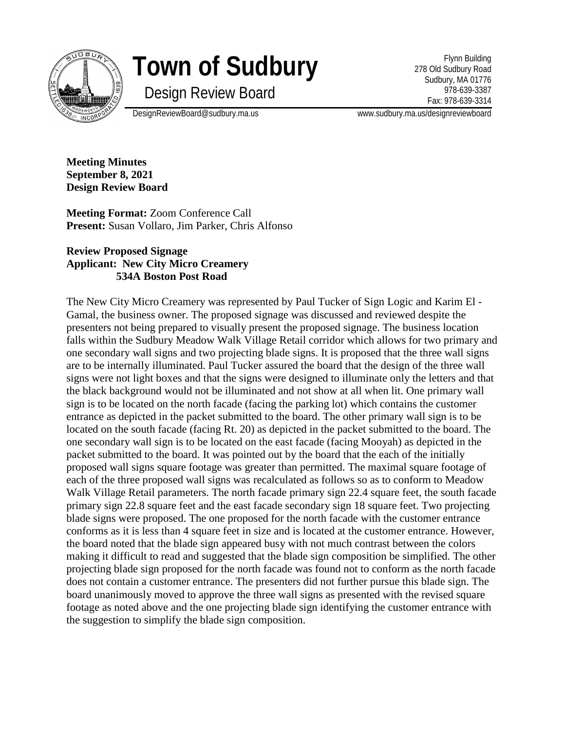

## **Town of Sudbury**

Design Review Board

Flynn Building 278 Old Sudbury Road Sudbury, MA 01776 978-639-3387 Fax: 978-639-3314

DesignReviewBoard@sudbury.ma.us www.sudbury.ma.us/designreviewboard

**Meeting Minutes September 8, 2021 Design Review Board**

**Meeting Format:** Zoom Conference Call **Present:** Susan Vollaro, Jim Parker, Chris Alfonso

## **Review Proposed Signage Applicant: New City Micro Creamery 534A Boston Post Road**

The New City Micro Creamery was represented by Paul Tucker of Sign Logic and Karim El - Gamal, the business owner. The proposed signage was discussed and reviewed despite the presenters not being prepared to visually present the proposed signage. The business location falls within the Sudbury Meadow Walk Village Retail corridor which allows for two primary and one secondary wall signs and two projecting blade signs. It is proposed that the three wall signs are to be internally illuminated. Paul Tucker assured the board that the design of the three wall signs were not light boxes and that the signs were designed to illuminate only the letters and that the black background would not be illuminated and not show at all when lit. One primary wall sign is to be located on the north facade (facing the parking lot) which contains the customer entrance as depicted in the packet submitted to the board. The other primary wall sign is to be located on the south facade (facing Rt. 20) as depicted in the packet submitted to the board. The one secondary wall sign is to be located on the east facade (facing Mooyah) as depicted in the packet submitted to the board. It was pointed out by the board that the each of the initially proposed wall signs square footage was greater than permitted. The maximal square footage of each of the three proposed wall signs was recalculated as follows so as to conform to Meadow Walk Village Retail parameters. The north facade primary sign 22.4 square feet, the south facade primary sign 22.8 square feet and the east facade secondary sign 18 square feet. Two projecting blade signs were proposed. The one proposed for the north facade with the customer entrance conforms as it is less than 4 square feet in size and is located at the customer entrance. However, the board noted that the blade sign appeared busy with not much contrast between the colors making it difficult to read and suggested that the blade sign composition be simplified. The other projecting blade sign proposed for the north facade was found not to conform as the north facade does not contain a customer entrance. The presenters did not further pursue this blade sign. The board unanimously moved to approve the three wall signs as presented with the revised square footage as noted above and the one projecting blade sign identifying the customer entrance with the suggestion to simplify the blade sign composition.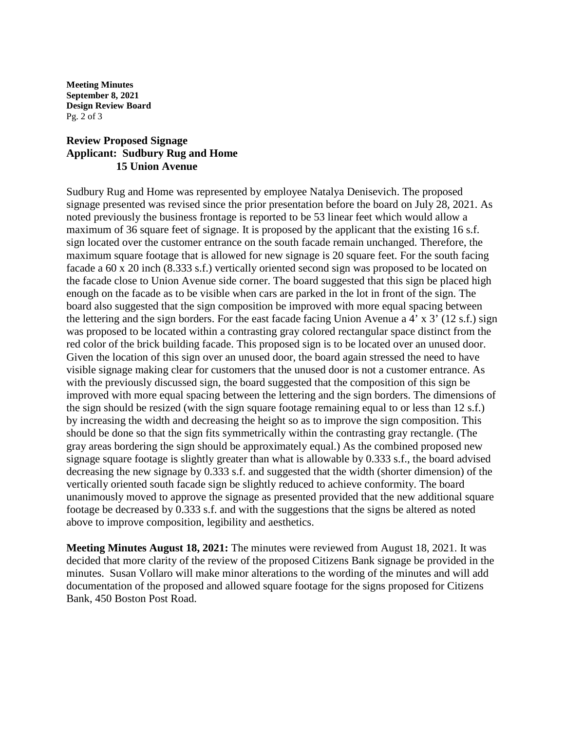**Meeting Minutes September 8, 2021 Design Review Board** Pg. 2 of 3

## **Review Proposed Signage Applicant: Sudbury Rug and Home 15 Union Avenue**

Sudbury Rug and Home was represented by employee Natalya Denisevich. The proposed signage presented was revised since the prior presentation before the board on July 28, 2021. As noted previously the business frontage is reported to be 53 linear feet which would allow a maximum of 36 square feet of signage. It is proposed by the applicant that the existing 16 s.f. sign located over the customer entrance on the south facade remain unchanged. Therefore, the maximum square footage that is allowed for new signage is 20 square feet. For the south facing facade a 60 x 20 inch (8.333 s.f.) vertically oriented second sign was proposed to be located on the facade close to Union Avenue side corner. The board suggested that this sign be placed high enough on the facade as to be visible when cars are parked in the lot in front of the sign. The board also suggested that the sign composition be improved with more equal spacing between the lettering and the sign borders. For the east facade facing Union Avenue a 4' x 3' (12 s.f.) sign was proposed to be located within a contrasting gray colored rectangular space distinct from the red color of the brick building facade. This proposed sign is to be located over an unused door. Given the location of this sign over an unused door, the board again stressed the need to have visible signage making clear for customers that the unused door is not a customer entrance. As with the previously discussed sign, the board suggested that the composition of this sign be improved with more equal spacing between the lettering and the sign borders. The dimensions of the sign should be resized (with the sign square footage remaining equal to or less than 12 s.f.) by increasing the width and decreasing the height so as to improve the sign composition. This should be done so that the sign fits symmetrically within the contrasting gray rectangle. (The gray areas bordering the sign should be approximately equal.) As the combined proposed new signage square footage is slightly greater than what is allowable by 0.333 s.f., the board advised decreasing the new signage by 0.333 s.f. and suggested that the width (shorter dimension) of the vertically oriented south facade sign be slightly reduced to achieve conformity. The board unanimously moved to approve the signage as presented provided that the new additional square footage be decreased by 0.333 s.f. and with the suggestions that the signs be altered as noted above to improve composition, legibility and aesthetics.

**Meeting Minutes August 18, 2021:** The minutes were reviewed from August 18, 2021. It was decided that more clarity of the review of the proposed Citizens Bank signage be provided in the minutes. Susan Vollaro will make minor alterations to the wording of the minutes and will add documentation of the proposed and allowed square footage for the signs proposed for Citizens Bank, 450 Boston Post Road.